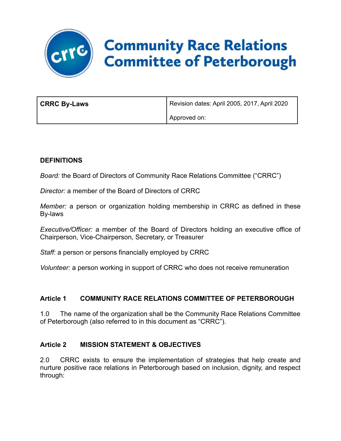# **CATE Community Race Relations<br>Committee of Peterborough**

| <b>CRRC By-Laws</b> | Revision dates: April 2005, 2017, April 2020 |
|---------------------|----------------------------------------------|
|                     | Approved on:                                 |

#### **DEFINITIONS**

*Board:* the Board of Directors of Community Race Relations Committee ("CRRC")

*Director:* a member of the Board of Directors of CRRC

*Member:* a person or organization holding membership in CRRC as defined in these By-laws

*Executive/Officer:* a member of the Board of Directors holding an executive office of Chairperson, Vice-Chairperson, Secretary, or Treasurer

*Staff:* a person or persons financially employed by CRRC

*Volunteer:* a person working in support of CRRC who does not receive remuneration

# **Article 1 COMMUNITY RACE RELATIONS COMMITTEE OF PETERBOROUGH**

1.0 The name of the organization shall be the Community Race Relations Committee of Peterborough (also referred to in this document as "CRRC").

#### **Article 2 MISSION STATEMENT & OBJECTIVES**

2.0 CRRC exists to ensure the implementation of strategies that help create and nurture positive race relations in Peterborough based on inclusion, dignity, and respect through: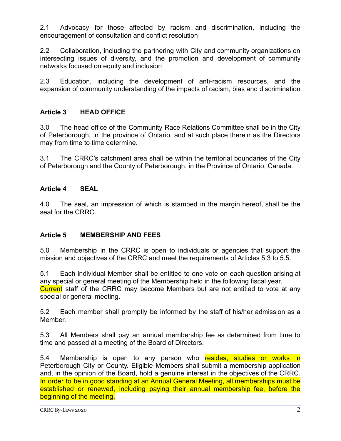2.1 Advocacy for those affected by racism and discrimination, including the encouragement of consultation and conflict resolution

2.2 Collaboration, including the partnering with City and community organizations on intersecting issues of diversity, and the promotion and development of community networks focused on equity and inclusion

2.3 Education, including the development of anti-racism resources, and the expansion of community understanding of the impacts of racism, bias and discrimination

#### **Article 3 HEAD OFFICE**

3.0 The head office of the Community Race Relations Committee shall be in the City of Peterborough, in the province of Ontario, and at such place therein as the Directors may from time to time determine.

3.1 The CRRC's catchment area shall be within the territorial boundaries of the City of Peterborough and the County of Peterborough, in the Province of Ontario, Canada.

#### **Article 4 SEAL**

4.0 The seal, an impression of which is stamped in the margin hereof, shall be the seal for the CRRC.

#### **Article 5 MEMBERSHIP AND FEES**

5.0 Membership in the CRRC is open to individuals or agencies that support the mission and objectives of the CRRC and meet the requirements of Articles 5.3 to 5.5.

5.1 Each individual Member shall be entitled to one vote on each question arising at any special or general meeting of the Membership held in the following fiscal year. Current staff of the CRRC may become Members but are not entitled to vote at any special or general meeting.

5.2 Each member shall promptly be informed by the staff of his/her admission as a Member.

5.3 All Members shall pay an annual membership fee as determined from time to time and passed at a meeting of the Board of Directors.

5.4 Membership is open to any person who resides, studies or works in Peterborough City or County. Eligible Members shall submit a membership application and, in the opinion of the Board, hold a genuine interest in the objectives of the CRRC. In order to be in good standing at an Annual General Meeting, all memberships must be established or renewed, including paying their annual membership fee, before the beginning of the meeting.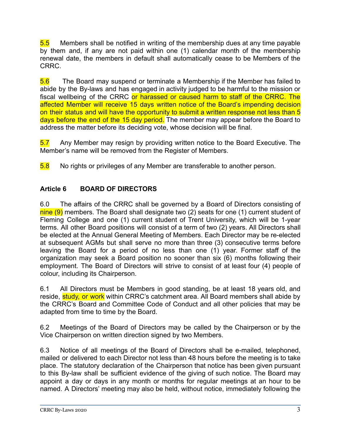5.5 Members shall be notified in writing of the membership dues at any time payable by them and, if any are not paid within one (1) calendar month of the membership renewal date, the members in default shall automatically cease to be Members of the CRRC.

5.6 The Board may suspend or terminate a Membership if the Member has failed to abide by the By-laws and has engaged in activity judged to be harmful to the mission or fiscal wellbeing of the CRRC or harassed or caused harm to staff of the CRRC. The affected Member will receive 15 days written notice of the Board's impending decision on their status and will have the opportunity to submit a written response not less than 5 days before the end of the 15 day period. The member may appear before the Board to address the matter before its deciding vote, whose decision will be final.

5.7 Any Member may resign by providing written notice to the Board Executive. The Member's name will be removed from the Register of Members.

5.8 No rights or privileges of any Member are transferable to another person.

# **Article 6 BOARD OF DIRECTORS**

6.0 The affairs of the CRRC shall be governed by a Board of Directors consisting of nine (9) members. The Board shall designate two (2) seats for one (1) current student of Fleming College and one (1) current student of Trent University, which will be 1-year terms. All other Board positions will consist of a term of two (2) years. All Directors shall be elected at the Annual General Meeting of Members. Each Director may be re-elected at subsequent AGMs but shall serve no more than three (3) consecutive terms before leaving the Board for a period of no less than one (1) year. Former staff of the organization may seek a Board position no sooner than six (6) months following their employment. The Board of Directors will strive to consist of at least four (4) people of colour, including its Chairperson.

6.1 All Directors must be Members in good standing, be at least 18 years old, and reside, study, or work within CRRC's catchment area. All Board members shall abide by the CRRC's Board and Committee Code of Conduct and all other policies that may be adapted from time to time by the Board.

6.2 Meetings of the Board of Directors may be called by the Chairperson or by the Vice Chairperson on written direction signed by two Members.

6.3 Notice of all meetings of the Board of Directors shall be e-mailed, telephoned, mailed or delivered to each Director not less than 48 hours before the meeting is to take place. The statutory declaration of the Chairperson that notice has been given pursuant to this By-law shall be sufficient evidence of the giving of such notice. The Board may appoint a day or days in any month or months for regular meetings at an hour to be named. A Directors' meeting may also be held, without notice, immediately following the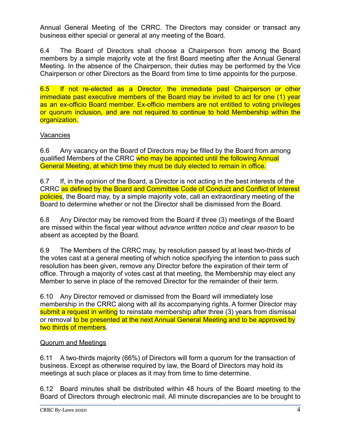Annual General Meeting of the CRRC. The Directors may consider or transact any business either special or general at any meeting of the Board.

6.4 The Board of Directors shall choose a Chairperson from among the Board members by a simple majority vote at the first Board meeting after the Annual General Meeting. In the absence of the Chairperson, their duties may be performed by the Vice Chairperson or other Directors as the Board from time to time appoints for the purpose.

6.5 If not re-elected as a Director, the immediate past Chairperson or other immediate past executive members of the Board may be invited to act for one (1) year as an ex-officio Board member. Ex-officio members are not entitled to voting privileges or quorum inclusion, and are not required to continue to hold Membership within the organization.

#### **Vacancies**

6.6 Any vacancy on the Board of Directors may be filled by the Board from among qualified Members of the CRRC who may be appointed until the following Annual General Meeting, at which time they must be duly elected to remain in office.

6.7 If, in the opinion of the Board, a Director is not acting in the best interests of the CRRC as defined by the Board and Committee Code of Conduct and Conflict of Interest policies, the Board may, by a simple majority vote, call an extraordinary meeting of the Board to determine whether or not the Director shall be dismissed from the Board.

6.8 Any Director may be removed from the Board if three (3) meetings of the Board are missed within the fiscal year without *advance written notice and clear reason* to be absent as accepted by the Board.

6.9 The Members of the CRRC may, by resolution passed by at least two-thirds of the votes cast at a general meeting of which notice specifying the intention to pass such resolution has been given, remove any Director before the expiration of their term of office. Through a majority of votes cast at that meeting, the Membership may elect any Member to serve in place of the removed Director for the remainder of their term.

6.10 Any Director removed or dismissed from the Board will immediately lose membership in the CRRC along with all its accompanying rights. A former Director may submit a request in writing to reinstate membership after three (3) years from dismissal or removal to be presented at the next Annual General Meeting and to be approved by two thirds of members.

#### Quorum and Meetings

6.11 A two-thirds majority (66%) of Directors will form a quorum for the transaction of business. Except as otherwise required by law, the Board of Directors may hold its meetings at such place or places as it may from time to time determine.

6.12 Board minutes shall be distributed within 48 hours of the Board meeting to the Board of Directors through electronic mail. All minute discrepancies are to be brought to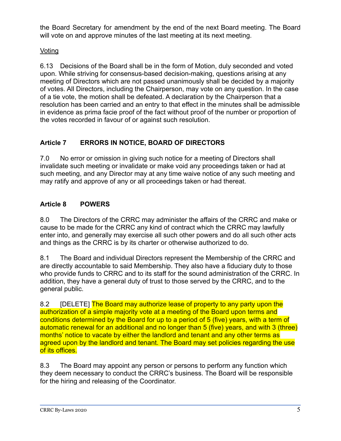the Board Secretary for amendment by the end of the next Board meeting. The Board will vote on and approve minutes of the last meeting at its next meeting.

# Voting

6.13 Decisions of the Board shall be in the form of Motion, duly seconded and voted upon. While striving for consensus-based decision-making, questions arising at any meeting of Directors which are not passed unanimously shall be decided by a majority of votes. All Directors, including the Chairperson, may vote on any question. In the case of a tie vote, the motion shall be defeated. A declaration by the Chairperson that a resolution has been carried and an entry to that effect in the minutes shall be admissible in evidence as prima facie proof of the fact without proof of the number or proportion of the votes recorded in favour of or against such resolution.

# **Article 7 ERRORS IN NOTICE, BOARD OF DIRECTORS**

7.0 No error or omission in giving such notice for a meeting of Directors shall invalidate such meeting or invalidate or make void any proceedings taken or had at such meeting, and any Director may at any time waive notice of any such meeting and may ratify and approve of any or all proceedings taken or had thereat.

# **Article 8 POWERS**

8.0 The Directors of the CRRC may administer the affairs of the CRRC and make or cause to be made for the CRRC any kind of contract which the CRRC may lawfully enter into, and generally may exercise all such other powers and do all such other acts and things as the CRRC is by its charter or otherwise authorized to do.

8.1 The Board and individual Directors represent the Membership of the CRRC and are directly accountable to said Membership. They also have a fiduciary duty to those who provide funds to CRRC and to its staff for the sound administration of the CRRC. In addition, they have a general duty of trust to those served by the CRRC, and to the general public.

8.2 **[DELETE]** The Board may authorize lease of property to any party upon the authorization of a simple majority vote at a meeting of the Board upon terms and conditions determined by the Board for up to a period of 5 (five) years, with a term of automatic renewal for an additional and no longer than 5 (five) years, and with 3 (three) months' notice to vacate by either the landlord and tenant and any other terms as agreed upon by the landlord and tenant. The Board may set policies regarding the use of its offices.

8.3 The Board may appoint any person or persons to perform any function which they deem necessary to conduct the CRRC's business. The Board will be responsible for the hiring and releasing of the Coordinator.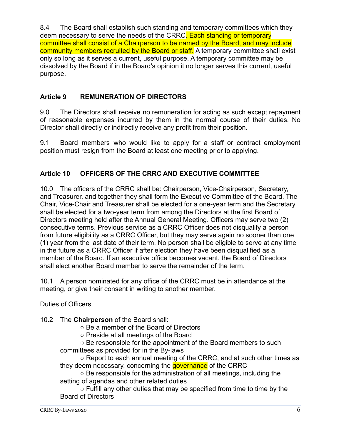8.4 The Board shall establish such standing and temporary committees which they deem necessary to serve the needs of the CRRC. Each standing or temporary committee shall consist of a Chairperson to be named by the Board, and may include community members recruited by the Board or staff. A temporary committee shall exist only so long as it serves a current, useful purpose. A temporary committee may be dissolved by the Board if in the Board's opinion it no longer serves this current, useful purpose.

# **Article 9 REMUNERATION OF DIRECTORS**

9.0 The Directors shall receive no remuneration for acting as such except repayment of reasonable expenses incurred by them in the normal course of their duties. No Director shall directly or indirectly receive any profit from their position.

9.1 Board members who would like to apply for a staff or contract employment position must resign from the Board at least one meeting prior to applying.

# **Article 10 OFFICERS OF THE CRRC AND EXECUTIVE COMMITTEE**

10.0 The officers of the CRRC shall be: Chairperson, Vice-Chairperson, Secretary, and Treasurer, and together they shall form the Executive Committee of the Board. The Chair, Vice-Chair and Treasurer shall be elected for a one-year term and the Secretary shall be elected for a two-year term from among the Directors at the first Board of Directors meeting held after the Annual General Meeting. Officers may serve two (2) consecutive terms. Previous service as a CRRC Officer does not disqualify a person from future eligibility as a CRRC Officer, but they may serve again no sooner than one (1) year from the last date of their term. No person shall be eligible to serve at any time in the future as a CRRC Officer if after election they have been disqualified as a member of the Board. If an executive office becomes vacant, the Board of Directors shall elect another Board member to serve the remainder of the term.

10.1 A person nominated for any office of the CRRC must be in attendance at the meeting, or give their consent in writing to another member.

#### Duties of Officers

10.2 The **Chairperson** of the Board shall:

○ Be a member of the Board of Directors

○ Preside at all meetings of the Board

○ Be responsible for the appointment of the Board members to such committees as provided for in the By-laws

○ Report to each annual meeting of the CRRC, and at such other times as they deem necessary, concerning the **governance** of the CRRC

 $\circ$  Be responsible for the administration of all meetings, including the setting of agendas and other related duties

 $\circ$  Fulfill any other duties that may be specified from time to time by the Board of Directors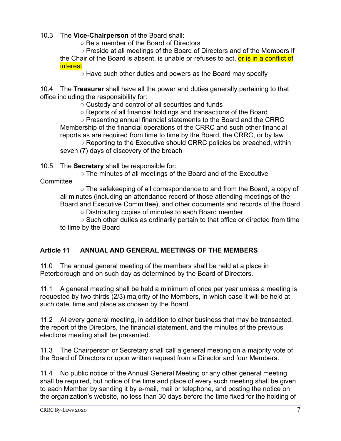#### 10.3 The **Vice-Chairperson** of the Board shall:

○ Be a member of the Board of Directors

 $\circ$  Preside at all meetings of the Board of Directors and of the Members if the Chair of the Board is absent, is unable or refuses to act, or is in a conflict of interest

 $\circ$  Have such other duties and powers as the Board may specify

10.4 The **Treasurer** shall have all the power and duties generally pertaining to that office including the responsibility for:

○ Custody and control of all securities and funds

○ Reports of all financial holdings and transactions of the Board

○ Presenting annual financial statements to the Board and the CRRC Membership of the financial operations of the CRRC and such other financial reports as are required from time to time by the Board, the CRRC, or by law

○ Reporting to the Executive should CRRC policies be breached, within seven (7) days of discovery of the breach

10.5 The **Secretary** shall be responsible for:

○ The minutes of all meetings of the Board and of the Executive

**Committee** 

 $\circ$  The safekeeping of all correspondence to and from the Board, a copy of all minutes (including an attendance record of those attending meetings of the Board and Executive Committee), and other documents and records of the Board

○ Distributing copies of minutes to each Board member

 $\circ$  Such other duties as ordinarily pertain to that office or directed from time to time by the Board

# **Article 11 ANNUAL AND GENERAL MEETINGS OF THE MEMBERS**

11.0 The annual general meeting of the members shall be held at a place in Peterborough and on such day as determined by the Board of Directors.

11.1 A general meeting shall be held a minimum of once per year unless a meeting is requested by two-thirds (2/3) majority of the Members, in which case it will be held at such date, time and place as chosen by the Board.

11.2 At every general meeting, in addition to other business that may be transacted, the report of the Directors, the financial statement, and the minutes of the previous elections meeting shall be presented.

11.3 The Chairperson or Secretary shall call a general meeting on a majority vote of the Board of Directors or upon written request from a Director and four Members.

11.4 No public notice of the Annual General Meeting or any other general meeting shall be required, but notice of the time and place of every such meeting shall be given to each Member by sending it by e-mail, mail or telephone, and posting the notice on the organization's website, no less than 30 days before the time fixed for the holding of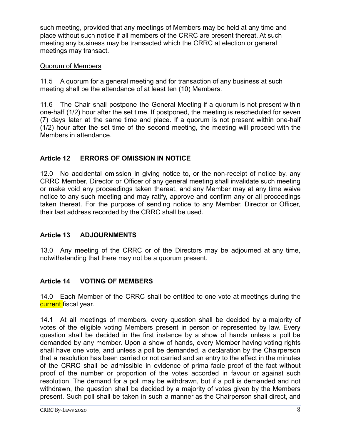such meeting, provided that any meetings of Members may be held at any time and place without such notice if all members of the CRRC are present thereat. At such meeting any business may be transacted which the CRRC at election or general meetings may transact.

#### Quorum of Members

11.5 A quorum for a general meeting and for transaction of any business at such meeting shall be the attendance of at least ten (10) Members.

11.6 The Chair shall postpone the General Meeting if a quorum is not present within one-half (1/2) hour after the set time. If postponed, the meeting is rescheduled for seven (7) days later at the same time and place. If a quorum is not present within one-half (1/2) hour after the set time of the second meeting, the meeting will proceed with the Members in attendance.

# **Article 12 ERRORS OF OMISSION IN NOTICE**

12.0 No accidental omission in giving notice to, or the non-receipt of notice by, any CRRC Member, Director or Officer of any general meeting shall invalidate such meeting or make void any proceedings taken thereat, and any Member may at any time waive notice to any such meeting and may ratify, approve and confirm any or all proceedings taken thereat. For the purpose of sending notice to any Member, Director or Officer, their last address recorded by the CRRC shall be used.

# **Article 13 ADJOURNMENTS**

13.0 Any meeting of the CRRC or of the Directors may be adjourned at any time, notwithstanding that there may not be a quorum present.

# **Article 14 VOTING OF MEMBERS**

14.0 Each Member of the CRRC shall be entitled to one vote at meetings during the current fiscal year.

14.1 At all meetings of members, every question shall be decided by a majority of votes of the eligible voting Members present in person or represented by law. Every question shall be decided in the first instance by a show of hands unless a poll be demanded by any member. Upon a show of hands, every Member having voting rights shall have one vote, and unless a poll be demanded, a declaration by the Chairperson that a resolution has been carried or not carried and an entry to the effect in the minutes of the CRRC shall be admissible in evidence of prima facie proof of the fact without proof of the number or proportion of the votes accorded in favour or against such resolution. The demand for a poll may be withdrawn, but if a poll is demanded and not withdrawn, the question shall be decided by a majority of votes given by the Members present. Such poll shall be taken in such a manner as the Chairperson shall direct, and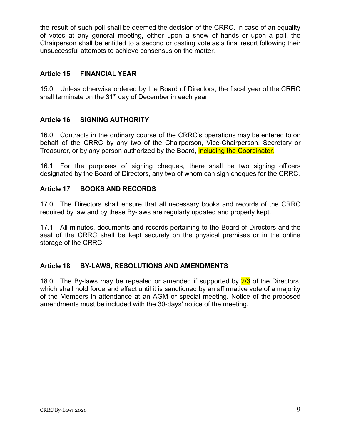the result of such poll shall be deemed the decision of the CRRC. In case of an equality of votes at any general meeting, either upon a show of hands or upon a poll, the Chairperson shall be entitled to a second or casting vote as a final resort following their unsuccessful attempts to achieve consensus on the matter.

#### **Article 15 FINANCIAL YEAR**

15.0 Unless otherwise ordered by the Board of Directors, the fiscal year of the CRRC shall terminate on the 31<sup>st</sup> day of December in each year.

#### **Article 16 SIGNING AUTHORITY**

16.0 Contracts in the ordinary course of the CRRC's operations may be entered to on behalf of the CRRC by any two of the Chairperson, Vice-Chairperson, Secretary or Treasurer, or by any person authorized by the Board, *including the Coordinator*.

16.1 For the purposes of signing cheques, there shall be two signing officers designated by the Board of Directors, any two of whom can sign cheques for the CRRC.

#### **Article 17 BOOKS AND RECORDS**

17.0 The Directors shall ensure that all necessary books and records of the CRRC required by law and by these By-laws are regularly updated and properly kept.

17.1 All minutes, documents and records pertaining to the Board of Directors and the seal of the CRRC shall be kept securely on the physical premises or in the online storage of the CRRC.

#### **Article 18 BY-LAWS, RESOLUTIONS AND AMENDMENTS**

18.0 The By-laws may be repealed or amended if supported by  $\frac{2}{3}$  of the Directors, which shall hold force and effect until it is sanctioned by an affirmative vote of a majority of the Members in attendance at an AGM or special meeting. Notice of the proposed amendments must be included with the 30-days' notice of the meeting.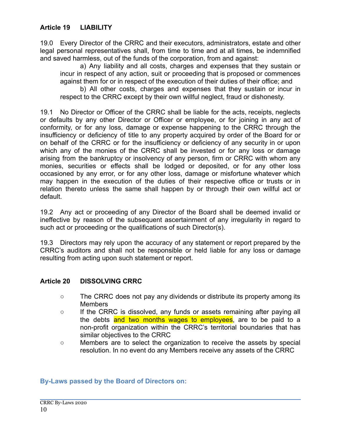19.0 Every Director of the CRRC and their executors, administrators, estate and other legal personal representatives shall, from time to time and at all times, be indemnified and saved harmless, out of the funds of the corporation, from and against:

a) Any liability and all costs, charges and expenses that they sustain or incur in respect of any action, suit or proceeding that is proposed or commences against them for or in respect of the execution of their duties of their office; and

b) All other costs, charges and expenses that they sustain or incur in respect to the CRRC except by their own willful neglect, fraud or dishonesty.

19.1 No Director or Officer of the CRRC shall be liable for the acts, receipts, neglects or defaults by any other Director or Officer or employee, or for joining in any act of conformity, or for any loss, damage or expense happening to the CRRC through the insufficiency or deficiency of title to any property acquired by order of the Board for or on behalf of the CRRC or for the insufficiency or deficiency of any security in or upon which any of the monies of the CRRC shall be invested or for any loss or damage arising from the bankruptcy or insolvency of any person, firm or CRRC with whom any monies, securities or effects shall be lodged or deposited, or for any other loss occasioned by any error, or for any other loss, damage or misfortune whatever which may happen in the execution of the duties of their respective office or trusts or in relation thereto unless the same shall happen by or through their own willful act or default.

19.2 Any act or proceeding of any Director of the Board shall be deemed invalid or ineffective by reason of the subsequent ascertainment of any irregularity in regard to such act or proceeding or the qualifications of such Director(s).

19.3 Directors may rely upon the accuracy of any statement or report prepared by the CRRC's auditors and shall not be responsible or held liable for any loss or damage resulting from acting upon such statement or report.

#### **Article 20 DISSOLVING CRRC**

- The CRRC does not pay any dividends or distribute its property among its Members
- If the CRRC is dissolved, any funds or assets remaining after paying all the debts and two months wages to employees, are to be paid to a non-profit organization within the CRRC's territorial boundaries that has similar objectives to the CRRC
- Members are to select the organization to receive the assets by special resolution. In no event do any Members receive any assets of the CRRC

#### **By-Laws passed by the Board of Directors on:**